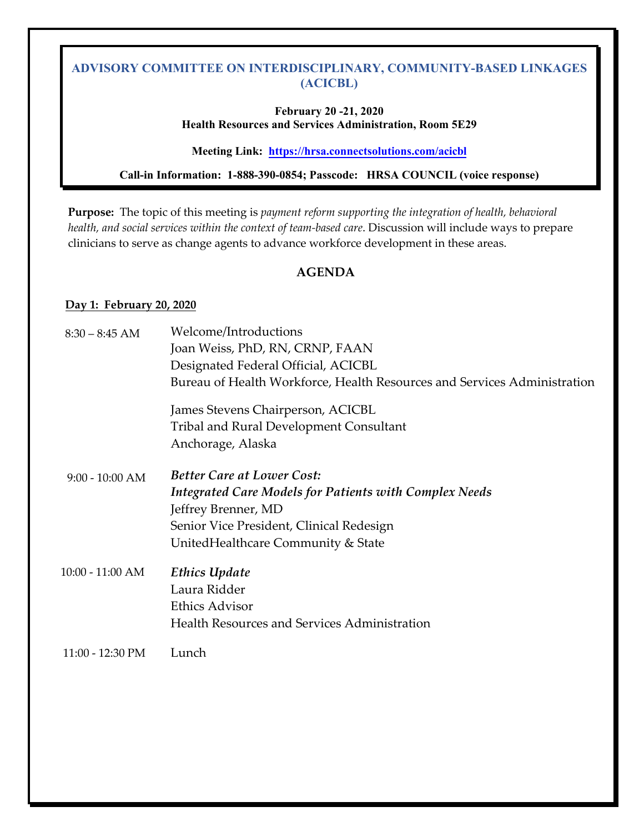## **February 20 -21, 2020 Health Resources and Services Administration, Room 5E29**

## **Meeting Link:<https://hrsa.connectsolutions.com/acicbl>**

# **Call-in Information: 1-888-390-0854; Passcode: HRSA COUNCIL (voice response)**

 clinicians to serve as change agents to advance workforce development in these areas. **Purpose:** The topic of this meeting is *payment reform supporting the integration of health, behavioral health, and social services within the context of team-based care*. Discussion will include ways to prepare

# **AGENDA**

## **Day 1: February 20, 2020**

| $8:30 - 8:45$ AM   | Welcome/Introductions                                                    |
|--------------------|--------------------------------------------------------------------------|
|                    | Joan Weiss, PhD, RN, CRNP, FAAN                                          |
|                    | Designated Federal Official, ACICBL                                      |
|                    | Bureau of Health Workforce, Health Resources and Services Administration |
|                    | James Stevens Chairperson, ACICBL                                        |
|                    | <b>Tribal and Rural Development Consultant</b>                           |
|                    | Anchorage, Alaska                                                        |
| $9:00 - 10:00$ AM  | <b>Better Care at Lower Cost:</b>                                        |
|                    | <b>Integrated Care Models for Patients with Complex Needs</b>            |
|                    | Jeffrey Brenner, MD                                                      |
|                    | Senior Vice President, Clinical Redesign                                 |
|                    | United Healthcare Community & State                                      |
| $10:00 - 11:00 AM$ | <b>Ethics Update</b>                                                     |
|                    | Laura Ridder                                                             |
|                    | <b>Ethics Advisor</b>                                                    |
|                    | <b>Health Resources and Services Administration</b>                      |
| 11:00 - 12:30 PM   | Lunch                                                                    |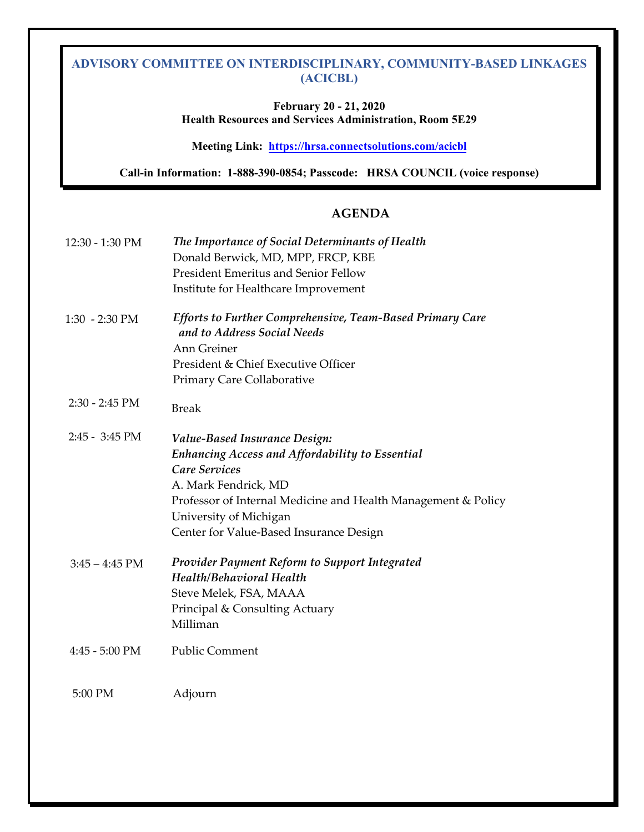**February 20 - 21, 2020 Health Resources and Services Administration, Room 5E29** 

**Meeting Link:<https://hrsa.connectsolutions.com/acicbl>**

**Call-in Information: 1-888-390-0854; Passcode: HRSA COUNCIL (voice response)** 

## **AGENDA**

| 12:30 - 1:30 PM          | The Importance of Social Determinants of Health<br>Donald Berwick, MD, MPP, FRCP, KBE<br><b>President Emeritus and Senior Fellow</b><br>Institute for Healthcare Improvement                                                                                                         |
|--------------------------|--------------------------------------------------------------------------------------------------------------------------------------------------------------------------------------------------------------------------------------------------------------------------------------|
| $1:30 - 2:30$ PM         | <b>Efforts to Further Comprehensive, Team-Based Primary Care</b><br>and to Address Social Needs<br>Ann Greiner<br>President & Chief Executive Officer<br>Primary Care Collaborative                                                                                                  |
| $2:30 - 2:45$ PM         | <b>Break</b>                                                                                                                                                                                                                                                                         |
| $2:45 - 3:45 \text{ PM}$ | <b>Value-Based Insurance Design:</b><br><b>Enhancing Access and Affordability to Essential</b><br><b>Care Services</b><br>A. Mark Fendrick, MD<br>Professor of Internal Medicine and Health Management & Policy<br>University of Michigan<br>Center for Value-Based Insurance Design |
| $3:45 - 4:45$ PM         | <b>Provider Payment Reform to Support Integrated</b><br><b>Health/Behavioral Health</b><br>Steve Melek, FSA, MAAA<br>Principal & Consulting Actuary<br>Milliman                                                                                                                      |
| 4:45 - 5:00 PM           | <b>Public Comment</b>                                                                                                                                                                                                                                                                |
| 5:00 PM                  | Adjourn                                                                                                                                                                                                                                                                              |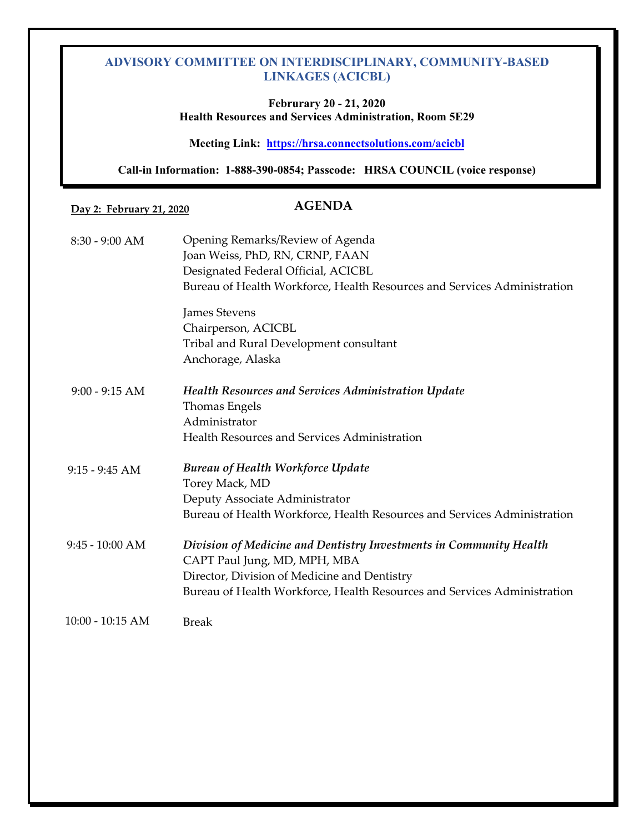## **Februrary 20 - 21, 2020 Health Resources and Services Administration, Room 5E29**

**Meeting Link: <https://hrsa.connectsolutions.com/acicbl>**

 **Call-in Information: 1-888-390-0854; Passcode: HRSA COUNCIL (voice response)** 

**Day 2: February 21, 2020**

# **AGENDA**

| $8:30 - 9:00$ AM   | Opening Remarks/Review of Agenda<br>Joan Weiss, PhD, RN, CRNP, FAAN<br>Designated Federal Official, ACICBL<br>Bureau of Health Workforce, Health Resources and Services Administration |
|--------------------|----------------------------------------------------------------------------------------------------------------------------------------------------------------------------------------|
|                    | <b>James Stevens</b>                                                                                                                                                                   |
|                    | Chairperson, ACICBL                                                                                                                                                                    |
|                    | Tribal and Rural Development consultant                                                                                                                                                |
|                    | Anchorage, Alaska                                                                                                                                                                      |
| $9:00 - 9:15 AM$   | <b>Health Resources and Services Administration Update</b>                                                                                                                             |
|                    | Thomas Engels                                                                                                                                                                          |
|                    | Administrator                                                                                                                                                                          |
|                    | Health Resources and Services Administration                                                                                                                                           |
| $9:15 - 9:45$ AM   | <b>Bureau of Health Workforce Update</b>                                                                                                                                               |
|                    | Torey Mack, MD                                                                                                                                                                         |
|                    | Deputy Associate Administrator                                                                                                                                                         |
|                    | Bureau of Health Workforce, Health Resources and Services Administration                                                                                                               |
| $9:45 - 10:00$ AM  | Division of Medicine and Dentistry Investments in Community Health                                                                                                                     |
|                    | CAPT Paul Jung, MD, MPH, MBA                                                                                                                                                           |
|                    | Director, Division of Medicine and Dentistry                                                                                                                                           |
|                    | Bureau of Health Workforce, Health Resources and Services Administration                                                                                                               |
| $10:00 - 10:15$ AM | <b>Break</b>                                                                                                                                                                           |